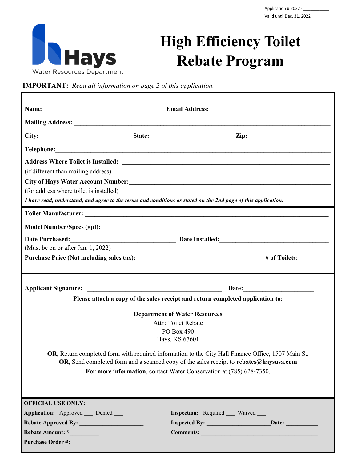

## **High Efficiency Toilet Rebate Program**

**IMPORTANT:** *Read all information on page 2 of this application.*

| (if different than mailing address)                                                                           |  |                                    |  |
|---------------------------------------------------------------------------------------------------------------|--|------------------------------------|--|
|                                                                                                               |  |                                    |  |
| (for address where toilet is installed)                                                                       |  |                                    |  |
| I have read, understand, and agree to the terms and conditions as stated on the 2nd page of this application: |  |                                    |  |
|                                                                                                               |  |                                    |  |
|                                                                                                               |  |                                    |  |
|                                                                                                               |  |                                    |  |
| (Must be on or after Jan. 1, 2022)                                                                            |  |                                    |  |
| Purchase Price (Not including sales tax): _______________________________# of Toilets: _____________          |  |                                    |  |
|                                                                                                               |  |                                    |  |
|                                                                                                               |  |                                    |  |
| <b>Applicant Signature:</b>                                                                                   |  |                                    |  |
| Please attach a copy of the sales receipt and return completed application to:                                |  |                                    |  |
| <b>Department of Water Resources</b>                                                                          |  |                                    |  |
| Attn: Toilet Rebate                                                                                           |  |                                    |  |
| PO Box 490                                                                                                    |  |                                    |  |
| Hays, KS 67601                                                                                                |  |                                    |  |
| OR, Return completed form with required information to the City Hall Finance Office, 1507 Main St.            |  |                                    |  |
| OR, Send completed form and a scanned copy of the sales receipt to rebates@haysusa.com                        |  |                                    |  |
| For more information, contact Water Conservation at (785) 628-7350.                                           |  |                                    |  |
|                                                                                                               |  |                                    |  |
|                                                                                                               |  |                                    |  |
| <b>OFFICIAL USE ONLY:</b>                                                                                     |  |                                    |  |
| Application: Approved Denied                                                                                  |  | <b>Inspection:</b> Required Waived |  |
| Rebate Approved By:                                                                                           |  |                                    |  |
| Rebate Amount: \$                                                                                             |  |                                    |  |
| Purchase Order #:                                                                                             |  |                                    |  |
|                                                                                                               |  |                                    |  |